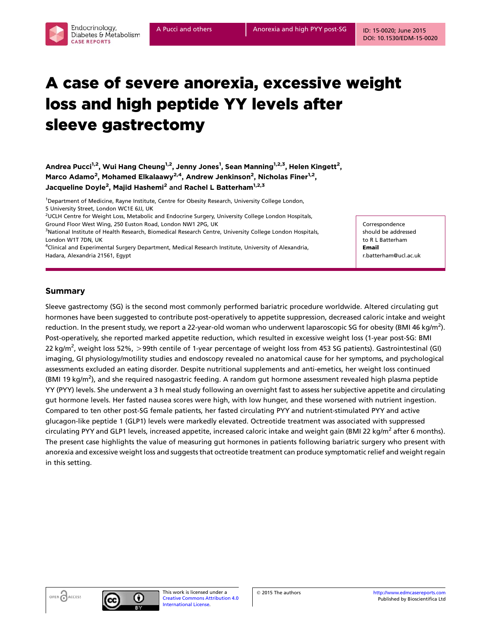# A case of severe anorexia, excessive weight loss and high peptide YY levels after sleeve gastrectomy

Andrea Pucci<sup>1,2</sup>, Wui Hang Cheung<sup>1,2</sup>, Jenny Jones<sup>1</sup>, Sean Manning<sup>1,2,3</sup>, Helen Kingett<sup>2</sup>, Marco Adamo<sup>2</sup>, Mohamed Elkalaawy<sup>2,4</sup>, Andrew Jenkinson<sup>2</sup>, Nicholas Finer<sup>1,2</sup>, Jacqueline Doyle<sup>2</sup>, Majid Hashemi<sup>2</sup> and Rachel L Batterham<sup>1,2,3</sup>

<sup>1</sup>Department of Medicine, Rayne Institute, Centre for Obesity Research, University College London, 5 University Street, London WC1E 6JJ, UK

2 UCLH Centre for Weight Loss, Metabolic and Endocrine Surgery, University College London Hospitals, Ground Floor West Wing, 250 Euston Road, London NW1 2PG, UK

<sup>3</sup>National Institute of Health Research, Biomedical Research Centre, University College London Hospitals, London W1T 7DN, UK

4 Clinical and Experimental Surgery Department, Medical Research Institute, University of Alexandria, Hadara, Alexandria 21561, Egypt

Correspondence should be addressed to R L Batterham Email r.batterham@ucl.ac.uk

## Summary

Endocrinology. Diabetes & Metabolism

**CASE REPORTS** 

Sleeve gastrectomy (SG) is the second most commonly performed bariatric procedure worldwide. Altered circulating gut hormones have been suggested to contribute post-operatively to appetite suppression, decreased caloric intake and weight reduction. In the present study, we report a 22-year-old woman who underwent laparoscopic SG for obesity (BMI 46 kg/m<sup>2</sup>). Post-operatively, she reported marked appetite reduction, which resulted in excessive weight loss (1-year post-SG: BMI 22 kg/m<sup>2</sup>, weight loss 52%, >99th centile of 1-year percentage of weight loss from 453 SG patients). Gastrointestinal (GI) imaging, GI physiology/motility studies and endoscopy revealed no anatomical cause for her symptoms, and psychological assessments excluded an eating disorder. Despite nutritional supplements and anti-emetics, her weight loss continued (BMI 19 kg/m<sup>2</sup>), and she required nasogastric feeding. A random gut hormone assessment revealed high plasma peptide YY (PYY) levels. She underwent a 3 h meal study following an overnight fast to assess her subjective appetite and circulating gut hormone levels. Her fasted nausea scores were high, with low hunger, and these worsened with nutrient ingestion. Compared to ten other post-SG female patients, her fasted circulating PYY and nutrient-stimulated PYY and active glucagon-like peptide 1 (GLP1) levels were markedly elevated. Octreotide treatment was associated with suppressed circulating PYY and GLP1 levels, increased appetite, increased caloric intake and weight gain (BMI 22 kg/m<sup>2</sup> after 6 months). The present case highlights the value of measuring gut hormones in patients following bariatric surgery who present with anorexia and excessive weight loss and suggests that octreotide treatment can produce symptomatic relief and weight regain in this setting.





This work is licensed under a [Creative Commons Attribution 4.0](https://creativecommons.org/licenses/by/4.0/) [International License](https://creativecommons.org/licenses/by/4.0/).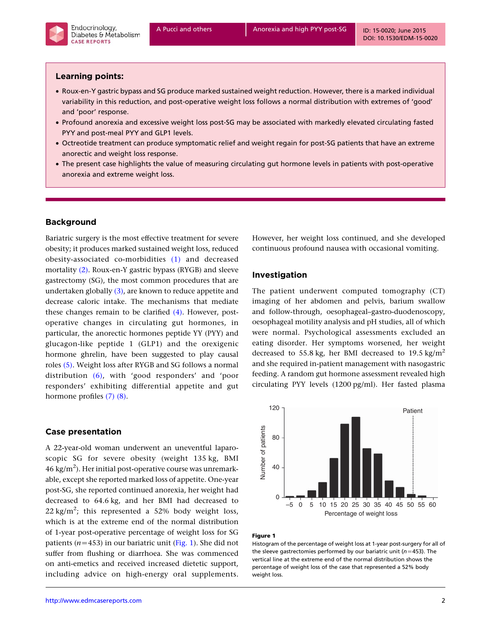

## Learning points:

- † Roux-en-Y gastric bypass and SG produce marked sustained weight reduction. However, there is a marked individual variability in this reduction, and post-operative weight loss follows a normal distribution with extremes of 'good' and 'poor' response.
- † Profound anorexia and excessive weight loss post-SG may be associated with markedly elevated circulating fasted PYY and post-meal PYY and GLP1 levels.
- † Octreotide treatment can produce symptomatic relief and weight regain for post-SG patients that have an extreme anorectic and weight loss response.
- The present case highlights the value of measuring circulating gut hormone levels in patients with post-operative anorexia and extreme weight loss.

# Background

Bariatric surgery is the most effective treatment for severe obesity; it produces marked sustained weight loss, reduced obesity-associated co-morbidities [\(1\)](#page-4-0) and decreased mortality [\(2\).](#page-4-0) Roux-en-Y gastric bypass (RYGB) and sleeve gastrectomy (SG), the most common procedures that are undertaken globally  $(3)$ , are known to reduce appetite and decrease caloric intake. The mechanisms that mediate these changes remain to be clarified [\(4\)](#page-4-0). However, postoperative changes in circulating gut hormones, in particular, the anorectic hormones peptide YY (PYY) and glucagon-like peptide 1 (GLP1) and the orexigenic hormone ghrelin, have been suggested to play causal roles [\(5\)](#page-4-0). Weight loss after RYGB and SG follows a normal distribution [\(6\)](#page-4-0), with 'good responders' and 'poor responders' exhibiting differential appetite and gut hormone profiles [\(7\) \(8\)](#page-4-0).

### Case presentation

A 22-year-old woman underwent an uneventful laparoscopic SG for severe obesity (weight 135 kg, BMI  $46~\mathrm{kg/m^2}$ ). Her initial post-operative course was unremarkable, except she reported marked loss of appetite. One-year post-SG, she reported continued anorexia, her weight had decreased to 64.6 kg, and her BMI had decreased to 22 kg/m<sup>2</sup>; this represented a 52% body weight loss, which is at the extreme end of the normal distribution of 1-year post-operative percentage of weight loss for SG patients ( $n=453$ ) in our bariatric unit (Fig. 1). She did not suffer from flushing or diarrhoea. She was commenced on anti-emetics and received increased dietetic support, including advice on high-energy oral supplements.

However, her weight loss continued, and she developed continuous profound nausea with occasional vomiting.

## Investigation

The patient underwent computed tomography (CT) imaging of her abdomen and pelvis, barium swallow and follow-through, oesophageal–gastro-duodenoscopy, oesophageal motility analysis and pH studies, all of which were normal. Psychological assessments excluded an eating disorder. Her symptoms worsened, her weight decreased to 55.8 kg, her BMI decreased to 19.5 kg/m<sup>2</sup> and she required in-patient management with nasogastric feeding. A random gut hormone assessment revealed high circulating PYY levels (1200 pg/ml). Her fasted plasma



#### Figure 1

Histogram of the percentage of weight loss at 1-year post-surgery for all of the sleeve gastrectomies performed by our bariatric unit ( $n=453$ ). The vertical line at the extreme end of the normal distribution shows the percentage of weight loss of the case that represented a 52% body weight loss.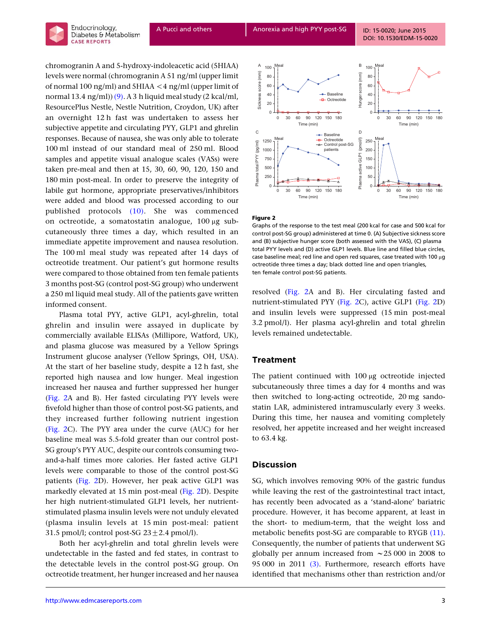

chromogranin A and 5-hydroxy-indoleacetic acid (5HIAA) levels were normal (chromogranin A 51 ng/ml (upper limit of normal 100 ng/ml) and 5HIAA  $\lt$  4 ng/ml (upper limit of normal 13.4 ng/ml)) $(9)$ . A 3 h liquid meal study (2 kcal/ml, ResourcePlus Nestle, Nestle Nutrition, Croydon, UK) after an overnight 12 h fast was undertaken to assess her subjective appetite and circulating PYY, GLP1 and ghrelin responses. Because of nausea, she was only able to tolerate 100 ml instead of our standard meal of 250 ml. Blood samples and appetite visual analogue scales (VASs) were taken pre-meal and then at 15, 30, 60, 90, 120, 150 and 180 min post-meal. In order to preserve the integrity of labile gut hormone, appropriate preservatives/inhibitors were added and blood was processed according to our published protocols [\(10\)](#page-4-0). She was commenced on octreotide, a somatostatin analogue,  $100 \mu$ g subcutaneously three times a day, which resulted in an immediate appetite improvement and nausea resolution. The 100 ml meal study was repeated after 14 days of octreotide treatment. Our patient's gut hormone results were compared to those obtained from ten female patients 3 months post-SG (control post-SG group) who underwent a 250 ml liquid meal study. All of the patients gave written informed consent.

Plasma total PYY, active GLP1, acyl-ghrelin, total ghrelin and insulin were assayed in duplicate by commercially available ELISAs (Millipore, Watford, UK), and plasma glucose was measured by a Yellow Springs Instrument glucose analyser (Yellow Springs, OH, USA). At the start of her baseline study, despite a 12 h fast, she reported high nausea and low hunger. Meal ingestion increased her nausea and further suppressed her hunger (Fig. 2A and B). Her fasted circulating PYY levels were fivefold higher than those of control post-SG patients, and they increased further following nutrient ingestion (Fig. 2C). The PYY area under the curve (AUC) for her baseline meal was 5.5-fold greater than our control post-SG group's PYY AUC, despite our controls consuming twoand-a-half times more calories. Her fasted active GLP1 levels were comparable to those of the control post-SG patients (Fig. 2D). However, her peak active GLP1 was markedly elevated at 15 min post-meal (Fig. 2D). Despite her high nutrient-stimulated GLP1 levels, her nutrientstimulated plasma insulin levels were not unduly elevated (plasma insulin levels at 15 min post-meal: patient 31.5 pmol/l; control post-SG  $23 \pm 2.4$  pmol/l).

Both her acyl-ghrelin and total ghrelin levels were undetectable in the fasted and fed states, in contrast to the detectable levels in the control post-SG group. On octreotide treatment, her hunger increased and her nausea



#### Figure 2

Graphs of the response to the test meal (200 kcal for case and 500 kcal for control post-SG group) administered at time 0. (A) Subjective sickness score and (B) subjective hunger score (both assessed with the VAS), (C) plasma total PYY levels and (D) active GLP1 levels. Blue line and filled blue circles, case baseline meal; red line and open red squares, case treated with 100 µg octreotide three times a day; black dotted line and open triangles, ten female control post-SG patients.

resolved (Fig. 2A and B). Her circulating fasted and nutrient-stimulated PYY (Fig. 2C), active GLP1 (Fig. 2D) and insulin levels were suppressed (15 min post-meal 3.2 pmol/l). Her plasma acyl-ghrelin and total ghrelin levels remained undetectable.

### Treatment

The patient continued with  $100 \mu$ g octreotide injected subcutaneously three times a day for 4 months and was then switched to long-acting octreotide, 20 mg sandostatin LAR, administered intramuscularly every 3 weeks. During this time, her nausea and vomiting completely resolved, her appetite increased and her weight increased to 63.4 kg.

#### **Discussion**

SG, which involves removing 90% of the gastric fundus while leaving the rest of the gastrointestinal tract intact, has recently been advocated as a 'stand-alone' bariatric procedure. However, it has become apparent, at least in the short- to medium-term, that the weight loss and metabolic benefits post-SG are comparable to RYGB [\(11\).](#page-4-0) Consequently, the number of patients that underwent SG globally per annum increased from  $\approx$  25 000 in 2008 to 95 000 in 2011 [\(3\).](#page-4-0) Furthermore, research efforts have identified that mechanisms other than restriction and/or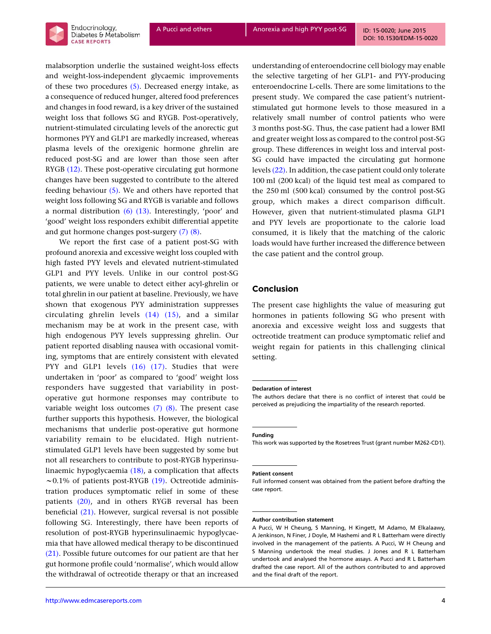

[DOI: 10.1530/EDM-15-0020](http://dx.doi.org/10.1530/EDM-15-0020)

malabsorption underlie the sustained weight-loss effects and weight-loss-independent glycaemic improvements of these two procedures [\(5\).](#page-4-0) Decreased energy intake, as a consequence of reduced hunger, altered food preferences and changes in food reward, is a key driver of the sustained weight loss that follows SG and RYGB. Post-operatively, nutrient-stimulated circulating levels of the anorectic gut hormones PYY and GLP1 are markedly increased, whereas plasma levels of the orexigenic hormone ghrelin are reduced post-SG and are lower than those seen after RYGB [\(12\)](#page-4-0). These post-operative circulating gut hormone changes have been suggested to contribute to the altered feeding behaviour  $(5)$ . We and others have reported that weight loss following SG and RYGB is variable and follows a normal distribution  $(6)$   $(13)$ . Interestingly, 'poor' and 'good' weight loss responders exhibit differential appetite and gut hormone changes post-surgery [\(7\) \(8\)](#page-4-0).

We report the first case of a patient post-SG with profound anorexia and excessive weight loss coupled with high fasted PYY levels and elevated nutrient-stimulated GLP1 and PYY levels. Unlike in our control post-SG patients, we were unable to detect either acyl-ghrelin or total ghrelin in our patient at baseline. Previously, we have shown that exogenous PYY administration suppresses circulating ghrelin levels [\(14\) \(15\)](#page-4-0), and a similar mechanism may be at work in the present case, with high endogenous PYY levels suppressing ghrelin. Our patient reported disabling nausea with occasional vomiting, symptoms that are entirely consistent with elevated PYY and GLP1 levels [\(16\) \(17\).](#page-4-0) Studies that were undertaken in 'poor' as compared to 'good' weight loss responders have suggested that variability in postoperative gut hormone responses may contribute to variable weight loss outcomes  $(7)$   $(8)$ . The present case further supports this hypothesis. However, the biological mechanisms that underlie post-operative gut hormone variability remain to be elucidated. High nutrientstimulated GLP1 levels have been suggested by some but not all researchers to contribute to post-RYGB hyperinsulinaemic hypoglycaemia [\(18\)](#page-4-0), a complication that affects  $\sim$  0.1% of patients post-RYGB [\(19\)](#page-4-0). Octreotide administration produces symptomatic relief in some of these patients [\(20\)](#page-4-0), and in others RYGB reversal has been beneficial [\(21\).](#page-4-0) However, surgical reversal is not possible following SG. Interestingly, there have been reports of resolution of post-RYGB hyperinsulinaemic hypoglycaemia that have allowed medical therapy to be discontinued [\(21\)](#page-4-0). Possible future outcomes for our patient are that her gut hormone profile could 'normalise', which would allow the withdrawal of octreotide therapy or that an increased

understanding of enteroendocrine cell biology may enable the selective targeting of her GLP1- and PYY-producing enteroendocrine L-cells. There are some limitations to the present study. We compared the case patient's nutrientstimulated gut hormone levels to those measured in a relatively small number of control patients who were 3 months post-SG. Thus, the case patient had a lower BMI and greater weight loss as compared to the control post-SG group. These differences in weight loss and interval post-SG could have impacted the circulating gut hormone levels [\(22\)](#page-4-0). In addition, the case patient could only tolerate 100 ml (200 kcal) of the liquid test meal as compared to the 250 ml (500 kcal) consumed by the control post-SG group, which makes a direct comparison difficult. However, given that nutrient-stimulated plasma GLP1 and PYY levels are proportionate to the calorie load consumed, it is likely that the matching of the caloric loads would have further increased the difference between the case patient and the control group.

### Conclusion

The present case highlights the value of measuring gut hormones in patients following SG who present with anorexia and excessive weight loss and suggests that octreotide treatment can produce symptomatic relief and weight regain for patients in this challenging clinical setting.

#### Declaration of interest

The authors declare that there is no conflict of interest that could be perceived as prejudicing the impartiality of the research reported.

#### Funding

This work was supported by the Rosetrees Trust (grant number M262-CD1).

#### Patient consent

Full informed consent was obtained from the patient before drafting the case report.

#### Author contribution statement

A Pucci, W H Cheung, S Manning, H Kingett, M Adamo, M Elkalaawy, A Jenkinson, N Finer, J Doyle, M Hashemi and R L Batterham were directly involved in the management of the patients. A Pucci, W H Cheung and S Manning undertook the meal studies. J Jones and R L Batterham undertook and analysed the hormone assays. A Pucci and R L Batterham drafted the case report. All of the authors contributed to and approved and the final draft of the report.